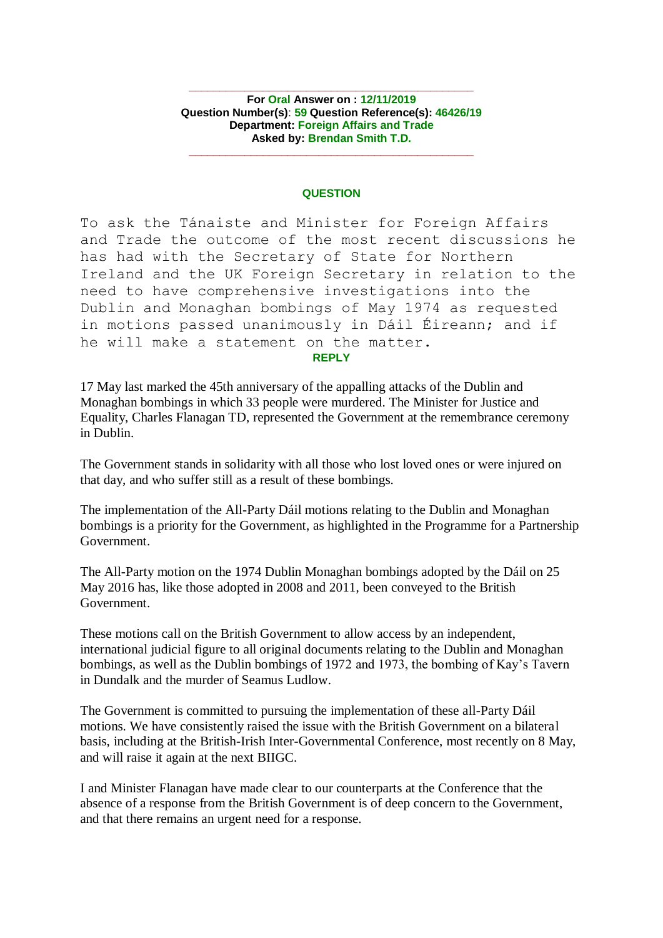**For Oral Answer on : 12/11/2019 Question Number(s)**: **59 Question Reference(s): 46426/19 Department: Foreign Affairs and Trade Asked by: Brendan Smith T.D.**

**\_\_\_\_\_\_\_\_\_\_\_\_\_\_\_\_\_\_\_\_\_\_\_\_\_\_\_\_\_\_\_\_\_\_\_\_\_\_\_\_\_\_\_\_\_\_**

**\_\_\_\_\_\_\_\_\_\_\_\_\_\_\_\_\_\_\_\_\_\_\_\_\_\_\_\_\_\_\_\_\_\_\_\_\_\_\_\_\_\_\_\_\_\_**

## **QUESTION**

To ask the Tánaiste and Minister for Foreign Affairs and Trade the outcome of the most recent discussions he has had with the Secretary of State for Northern Ireland and the UK Foreign Secretary in relation to the need to have comprehensive investigations into the Dublin and Monaghan bombings of May 1974 as requested in motions passed unanimously in Dáil Éireann; and if he will make a statement on the matter.

## **REPLY**

17 May last marked the 45th anniversary of the appalling attacks of the Dublin and Monaghan bombings in which 33 people were murdered. The Minister for Justice and Equality, Charles Flanagan TD, represented the Government at the remembrance ceremony in Dublin.

The Government stands in solidarity with all those who lost loved ones or were injured on that day, and who suffer still as a result of these bombings.

The implementation of the All-Party Dáil motions relating to the Dublin and Monaghan bombings is a priority for the Government, as highlighted in the Programme for a Partnership Government.

The All-Party motion on the 1974 Dublin Monaghan bombings adopted by the Dáil on 25 May 2016 has, like those adopted in 2008 and 2011, been conveyed to the British Government.

These motions call on the British Government to allow access by an independent, international judicial figure to all original documents relating to the Dublin and Monaghan bombings, as well as the Dublin bombings of 1972 and 1973, the bombing of Kay's Tavern in Dundalk and the murder of Seamus Ludlow.

The Government is committed to pursuing the implementation of these all-Party Dáil motions. We have consistently raised the issue with the British Government on a bilateral basis, including at the British-Irish Inter-Governmental Conference, most recently on 8 May, and will raise it again at the next BIIGC.

I and Minister Flanagan have made clear to our counterparts at the Conference that the absence of a response from the British Government is of deep concern to the Government, and that there remains an urgent need for a response.